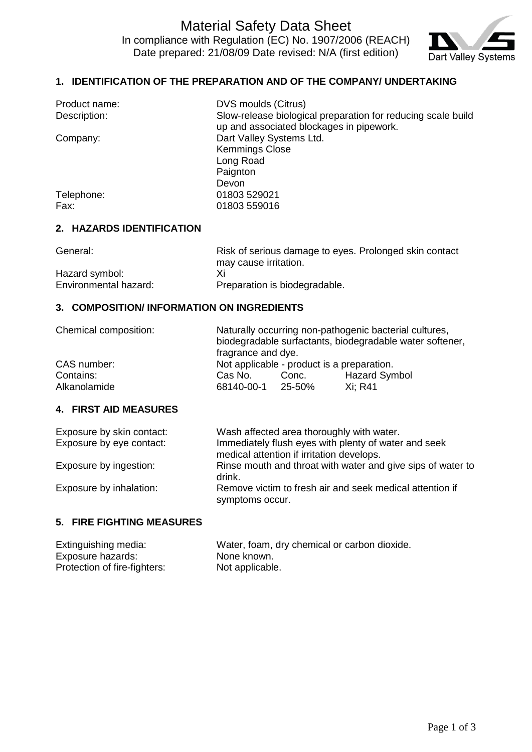

### **1. IDENTIFICATION OF THE PREPARATION AND OF THE COMPANY/ UNDERTAKING**

Product name: DVS moulds (Citrus) Description: Slow-release biological preparation for reducing scale build up and associated blockages in pipework. Company: Dart Valley Systems Ltd. Kemmings Close Long Road **Paignton** Devon Telephone: 01803 529021 Fax: 01803 559016

# **2. HAZARDS IDENTIFICATION**

General: General: Risk of serious damage to eyes. Prolonged skin contact may cause irritation. Hazard symbol: Xi Environmental hazard: Preparation is biodegradable.

# **3. COMPOSITION/ INFORMATION ON INGREDIENTS**

| Chemical composition:     | fragrance and dye.    |                                            | Naturally occurring non-pathogenic bacterial cultures,<br>biodegradable surfactants, biodegradable water softener, |
|---------------------------|-----------------------|--------------------------------------------|--------------------------------------------------------------------------------------------------------------------|
| CAS number:               |                       | Not applicable - product is a preparation. |                                                                                                                    |
| Contains:<br>Alkanolamide | Cas No.<br>68140-00-1 | Conc.<br>25-50%                            | <b>Hazard Symbol</b><br>Xi: R41                                                                                    |

### **4. FIRST AID MEASURES**

| Exposure by skin contact: | Wash affected area thoroughly with water.                                   |
|---------------------------|-----------------------------------------------------------------------------|
| Exposure by eye contact:  | Immediately flush eyes with plenty of water and seek                        |
|                           | medical attention if irritation develops.                                   |
| Exposure by ingestion:    | Rinse mouth and throat with water and give sips of water to<br>drink.       |
| Exposure by inhalation:   | Remove victim to fresh air and seek medical attention if<br>symptoms occur. |

# **5. FIRE FIGHTING MEASURES**

| Extinguishing media:         | Water, foam, dry chemical or carbon dioxide. |
|------------------------------|----------------------------------------------|
| Exposure hazards:            | None known.                                  |
| Protection of fire-fighters: | Not applicable.                              |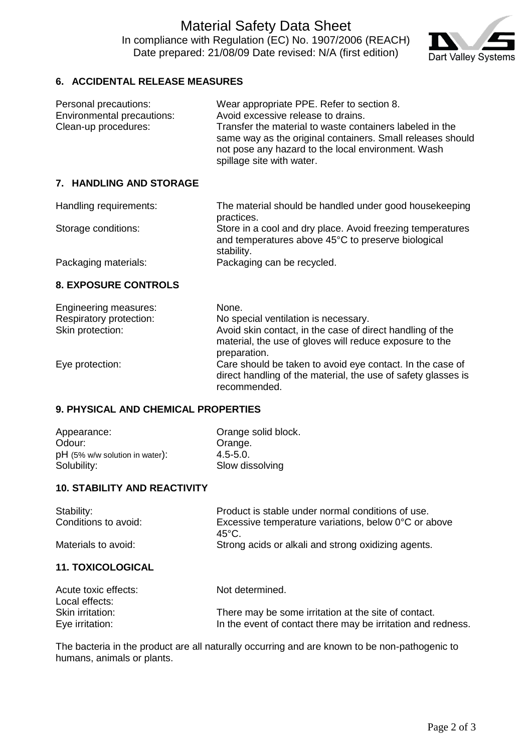

# **6. ACCIDENTAL RELEASE MEASURES**

| Personal precautions:      | Wear appropriate PPE. Refer to section 8.                                                                                                                                                                 |
|----------------------------|-----------------------------------------------------------------------------------------------------------------------------------------------------------------------------------------------------------|
| Environmental precautions: | Avoid excessive release to drains.                                                                                                                                                                        |
| Clean-up procedures:       | Transfer the material to waste containers labeled in the<br>same way as the original containers. Small releases should<br>not pose any hazard to the local environment. Wash<br>spillage site with water. |

#### **7. HANDLING AND STORAGE**

| Handling requirements: | The material should be handled under good housekeeping<br>practices. |
|------------------------|----------------------------------------------------------------------|
| Storage conditions:    | Store in a cool and dry place. Avoid freezing temperatures           |
|                        | and temperatures above 45°C to preserve biological                   |
|                        | stability.                                                           |
| Packaging materials:   | Packaging can be recycled.                                           |

#### **8. EXPOSURE CONTROLS**

| Engineering measures:   | None.                                                                                                                                      |
|-------------------------|--------------------------------------------------------------------------------------------------------------------------------------------|
| Respiratory protection: | No special ventilation is necessary.                                                                                                       |
| Skin protection:        | Avoid skin contact, in the case of direct handling of the<br>material, the use of gloves will reduce exposure to the<br>preparation.       |
| Eye protection:         | Care should be taken to avoid eye contact. In the case of<br>direct handling of the material, the use of safety glasses is<br>recommended. |

### **9. PHYSICAL AND CHEMICAL PROPERTIES**

| Appearance:                      | Orange solid block. |
|----------------------------------|---------------------|
| Odour:                           | Orange.             |
| $pH$ (5% w/w solution in water): | $4.5 - 5.0.$        |
| Solubility:                      | Slow dissolving     |

# **10. STABILITY AND REACTIVITY**

| Stability:           | Product is stable under normal conditions of use.             |
|----------------------|---------------------------------------------------------------|
| Conditions to avoid: | Excessive temperature variations, below 0°C or above<br>45°C. |
| Materials to avoid:  | Strong acids or alkali and strong oxidizing agents.           |

#### **11. TOXICOLOGICAL**

| Acute toxic effects: | Not determined.                                              |
|----------------------|--------------------------------------------------------------|
| Local effects:       |                                                              |
| Skin irritation:     | There may be some irritation at the site of contact.         |
| Eye irritation:      | In the event of contact there may be irritation and redness. |

The bacteria in the product are all naturally occurring and are known to be non-pathogenic to humans, animals or plants.